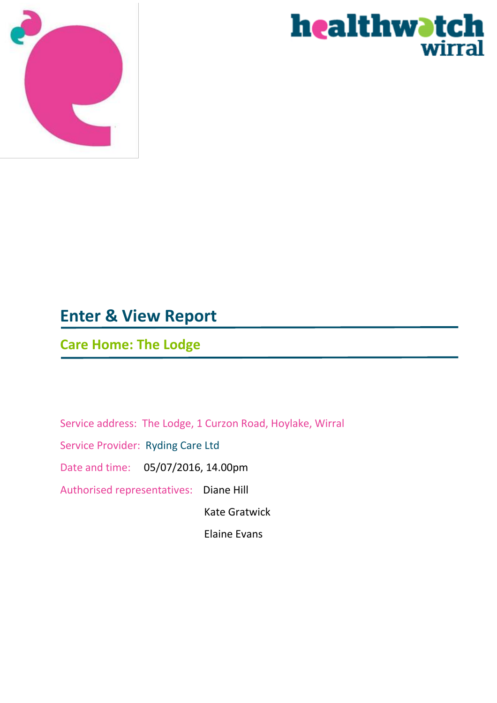



# **Enter & View Report**

# **Care Home: The Lodge**

Service address: The Lodge, 1 Curzon Road, Hoylake, Wirral Service Provider: Ryding Care Ltd Date and time: 05/07/2016, 14.00pm Authorised representatives: Diane Hill Kate Gratwick

Elaine Evans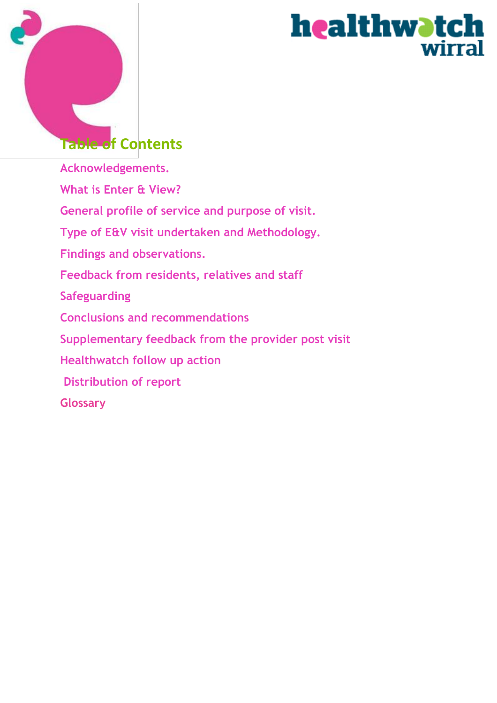

# healthwatch wirral

# **Table of Contents**

**Acknowledgements. What is Enter & View? General profile of service and purpose of visit. Type of E&V visit undertaken and Methodology. Findings and observations. Feedback from residents, relatives and staff Safeguarding Conclusions and recommendations Supplementary feedback from the provider post visit Healthwatch follow up action Distribution of report Glossary**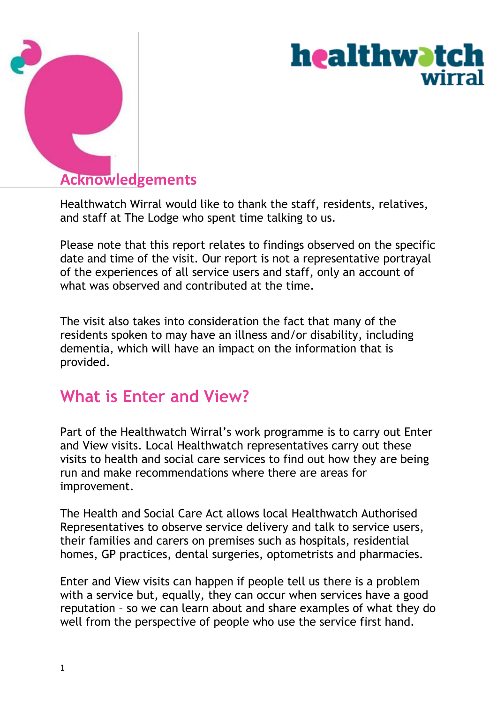

# **healthwatch** wirral

# **Acknowledgements**

Healthwatch Wirral would like to thank the staff, residents, relatives, and staff at The Lodge who spent time talking to us.

Please note that this report relates to findings observed on the specific date and time of the visit. Our report is not a representative portrayal of the experiences of all service users and staff, only an account of what was observed and contributed at the time.

The visit also takes into consideration the fact that many of the residents spoken to may have an illness and/or disability, including dementia, which will have an impact on the information that is provided.

# **What is Enter and View?**

Part of the Healthwatch Wirral's work programme is to carry out Enter and View visits. Local Healthwatch representatives carry out these visits to health and social care services to find out how they are being run and make recommendations where there are areas for improvement.

The Health and Social Care Act allows local Healthwatch Authorised Representatives to observe service delivery and talk to service users, their families and carers on premises such as hospitals, residential homes, GP practices, dental surgeries, optometrists and pharmacies.

Enter and View visits can happen if people tell us there is a problem with a service but, equally, they can occur when services have a good reputation – so we can learn about and share examples of what they do well from the perspective of people who use the service first hand.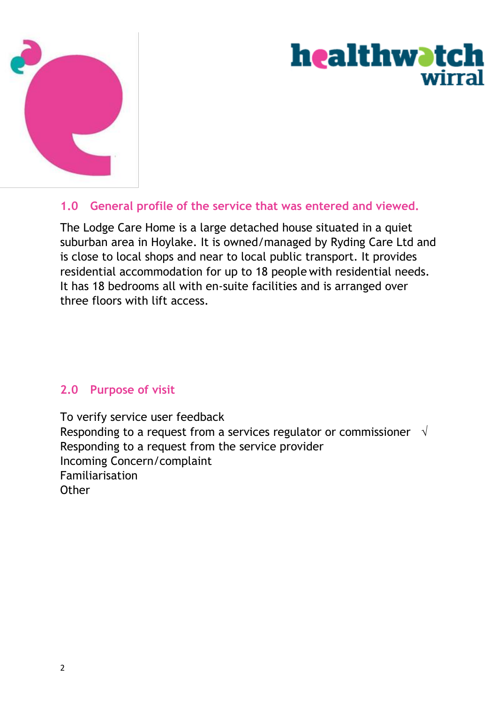

# **healthwatch** wirral

### **1.0 General profile of the service that was entered and viewed.**

The Lodge Care Home is a large detached house situated in a quiet suburban area in Hoylake. It is owned/managed by Ryding Care Ltd and is close to local shops and near to local public transport. It provides residential accommodation for up to 18 people with residential needs. It has 18 bedrooms all with en-suite facilities and is arranged over three floors with lift access.

#### **2.0 Purpose of visit**

To verify service user feedback Responding to a request from a services regulator or commissioner  $\sqrt{ }$ Responding to a request from the service provider Incoming Concern/complaint Familiarisation **Other**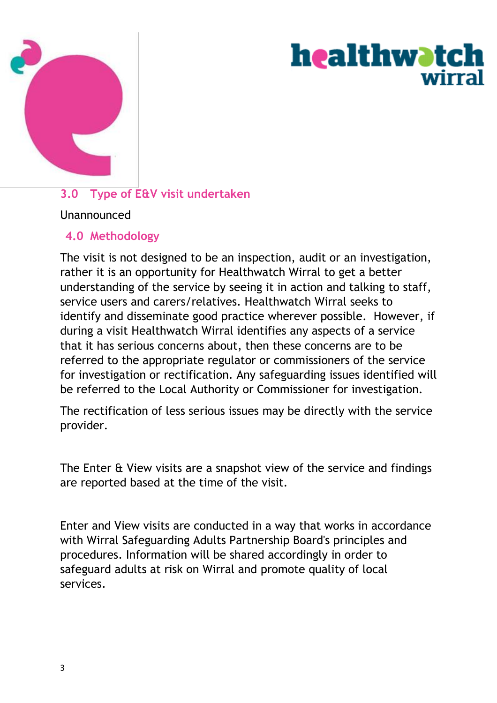

# **healthwatch** wirra

# **3.0 Type of E&V visit undertaken**

#### Unannounced

### **4.0 Methodology**

The visit is not designed to be an inspection, audit or an investigation, rather it is an opportunity for Healthwatch Wirral to get a better understanding of the service by seeing it in action and talking to staff, service users and carers/relatives. Healthwatch Wirral seeks to identify and disseminate good practice wherever possible. However, if during a visit Healthwatch Wirral identifies any aspects of a service that it has serious concerns about, then these concerns are to be referred to the appropriate regulator or commissioners of the service for investigation or rectification. Any safeguarding issues identified will be referred to the Local Authority or Commissioner for investigation.

The rectification of less serious issues may be directly with the service provider.

The Enter & View visits are a snapshot view of the service and findings are reported based at the time of the visit.

Enter and View visits are conducted in a way that works in accordance with Wirral Safeguarding Adults Partnership Board's principles and procedures. Information will be shared accordingly in order to safeguard adults at risk on Wirral and promote quality of local services.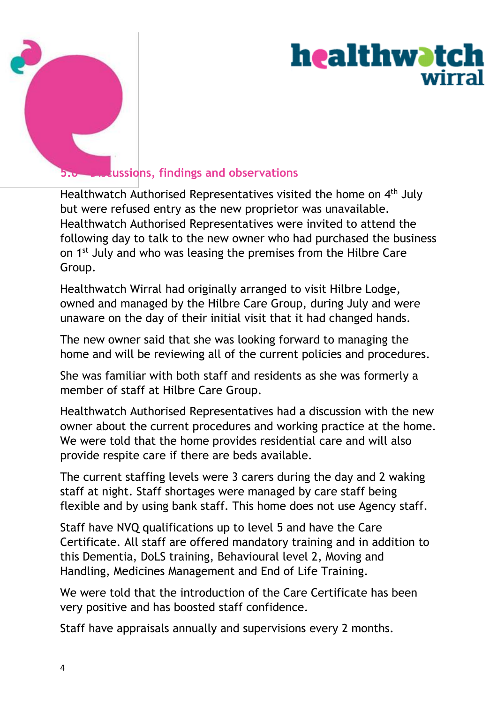

# <u>healthwatch</u> wirra

# **5.0 Discussions, findings and observations**

Healthwatch Authorised Representatives visited the home on 4<sup>th</sup> July but were refused entry as the new proprietor was unavailable. Healthwatch Authorised Representatives were invited to attend the following day to talk to the new owner who had purchased the business on 1<sup>st</sup> July and who was leasing the premises from the Hilbre Care Group.

Healthwatch Wirral had originally arranged to visit Hilbre Lodge, owned and managed by the Hilbre Care Group, during July and were unaware on the day of their initial visit that it had changed hands.

The new owner said that she was looking forward to managing the home and will be reviewing all of the current policies and procedures.

She was familiar with both staff and residents as she was formerly a member of staff at Hilbre Care Group.

Healthwatch Authorised Representatives had a discussion with the new owner about the current procedures and working practice at the home. We were told that the home provides residential care and will also provide respite care if there are beds available.

The current staffing levels were 3 carers during the day and 2 waking staff at night. Staff shortages were managed by care staff being flexible and by using bank staff. This home does not use Agency staff.

Staff have NVQ qualifications up to level 5 and have the Care Certificate. All staff are offered mandatory training and in addition to this Dementia, DoLS training, Behavioural level 2, Moving and Handling, Medicines Management and End of Life Training.

We were told that the introduction of the Care Certificate has been very positive and has boosted staff confidence.

Staff have appraisals annually and supervisions every 2 months.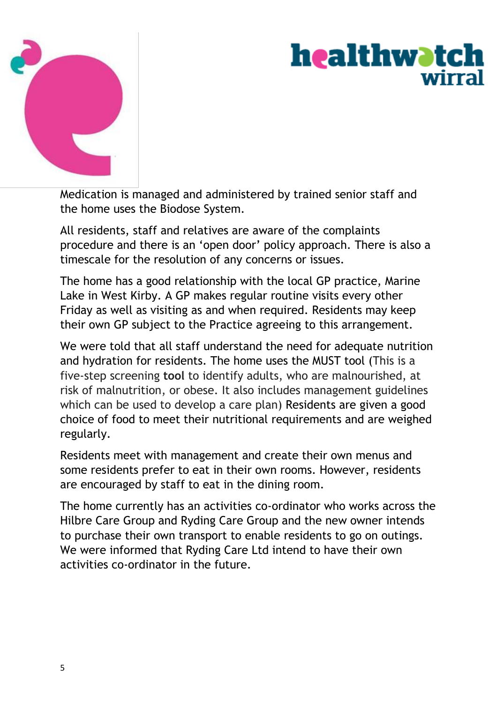

# <u>healthwatch</u> wirra

Medication is managed and administered by trained senior staff and the home uses the Biodose System.

All residents, staff and relatives are aware of the complaints procedure and there is an 'open door' policy approach. There is also a timescale for the resolution of any concerns or issues.

The home has a good relationship with the local GP practice, Marine Lake in West Kirby. A GP makes regular routine visits every other Friday as well as visiting as and when required. Residents may keep their own GP subject to the Practice agreeing to this arrangement.

We were told that all staff understand the need for adequate nutrition and hydration for residents. The home uses the MUST tool (This is a five-step screening **tool** to identify adults, who are malnourished, at risk of malnutrition, or obese. It also includes management guidelines which can be used to develop a care plan) Residents are given a good choice of food to meet their nutritional requirements and are weighed regularly.

Residents meet with management and create their own menus and some residents prefer to eat in their own rooms. However, residents are encouraged by staff to eat in the dining room.

The home currently has an activities co-ordinator who works across the Hilbre Care Group and Ryding Care Group and the new owner intends to purchase their own transport to enable residents to go on outings. We were informed that Ryding Care Ltd intend to have their own activities co-ordinator in the future.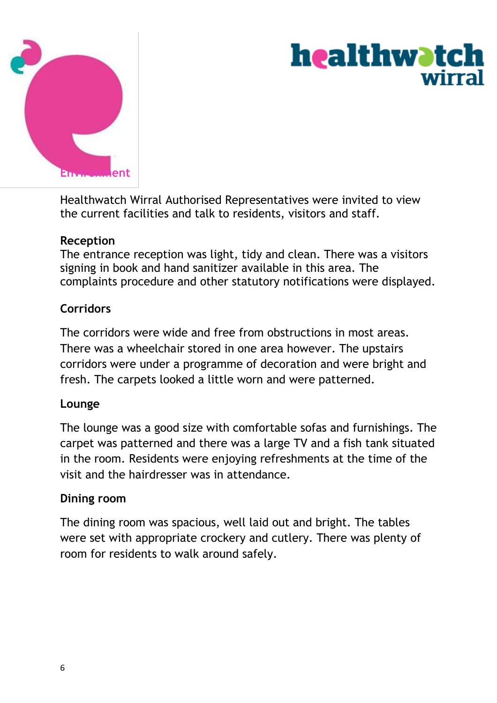

# **healthwatch** wirra

Healthwatch Wirral Authorised Representatives were invited to view the current facilities and talk to residents, visitors and staff.

#### **Reception**

The entrance reception was light, tidy and clean. There was a visitors signing in book and hand sanitizer available in this area. The complaints procedure and other statutory notifications were displayed.

#### **Corridors**

The corridors were wide and free from obstructions in most areas. There was a wheelchair stored in one area however. The upstairs corridors were under a programme of decoration and were bright and fresh. The carpets looked a little worn and were patterned.

#### **Lounge**

The lounge was a good size with comfortable sofas and furnishings. The carpet was patterned and there was a large TV and a fish tank situated in the room. Residents were enjoying refreshments at the time of the visit and the hairdresser was in attendance.

#### **Dining room**

The dining room was spacious, well laid out and bright. The tables were set with appropriate crockery and cutlery. There was plenty of room for residents to walk around safely.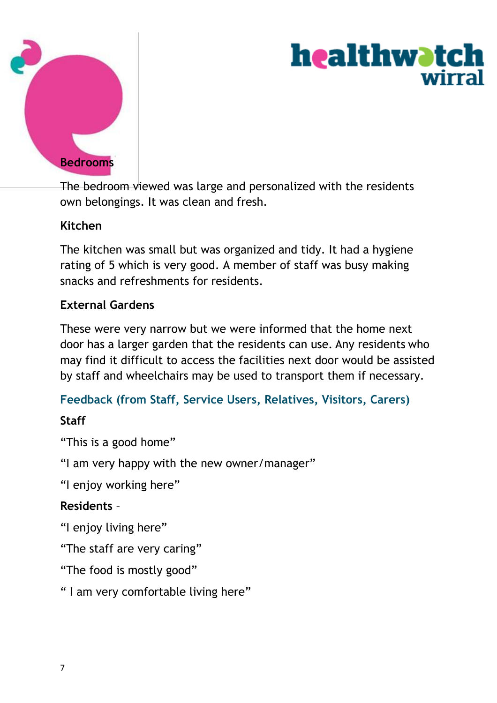

# healthwatch wirrs

The bedroom viewed was large and personalized with the residents own belongings. It was clean and fresh.

## **Kitchen**

The kitchen was small but was organized and tidy. It had a hygiene rating of 5 which is very good. A member of staff was busy making snacks and refreshments for residents.

## **External Gardens**

These were very narrow but we were informed that the home next door has a larger garden that the residents can use. Any residents who may find it difficult to access the facilities next door would be assisted by staff and wheelchairs may be used to transport them if necessary.

## **Feedback (from Staff, Service Users, Relatives, Visitors, Carers)**

## **Staff**

"This is a good home"

"I am very happy with the new owner/manager"

"I enjoy working here"

## **Residents** –

"I enjoy living here"

"The staff are very caring"

"The food is mostly good"

" I am very comfortable living here"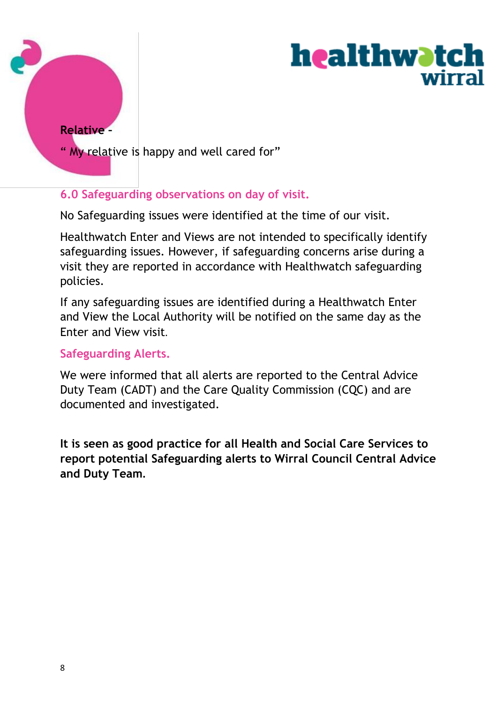



" My relative is happy and well cared for"

#### **6.0 Safeguarding observations on day of visit.**

No Safeguarding issues were identified at the time of our visit.

Healthwatch Enter and Views are not intended to specifically identify safeguarding issues. However, if safeguarding concerns arise during a visit they are reported in accordance with Healthwatch safeguarding policies.

If any safeguarding issues are identified during a Healthwatch Enter and View the Local Authority will be notified on the same day as the Enter and View visit.

#### **Safeguarding Alerts.**

We were informed that all alerts are reported to the Central Advice Duty Team (CADT) and the Care Quality Commission (CQC) and are documented and investigated.

**It is seen as good practice for all Health and Social Care Services to report potential Safeguarding alerts to Wirral Council Central Advice and Duty Team.**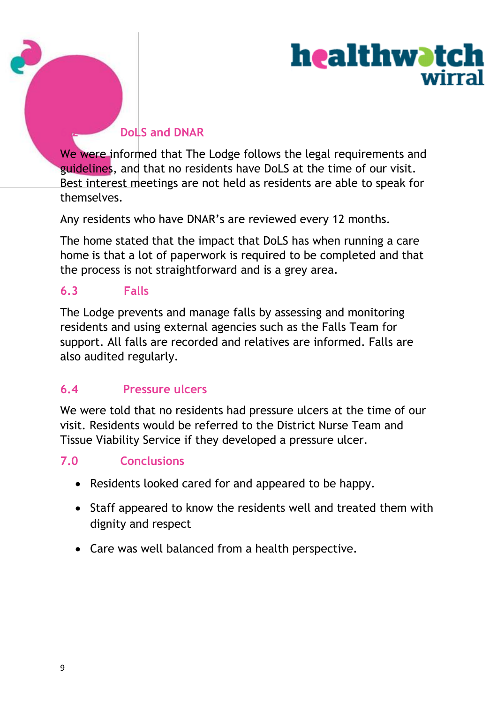

## **6.2 DoLS and DNAR**

We were informed that The Lodge follows the legal requirements and guidelines, and that no residents have DoLS at the time of our visit. Best interest meetings are not held as residents are able to speak for themselves.

Any residents who have DNAR's are reviewed every 12 months.

The home stated that the impact that DoLS has when running a care home is that a lot of paperwork is required to be completed and that the process is not straightforward and is a grey area.

### **6.3 Falls**

The Lodge prevents and manage falls by assessing and monitoring residents and using external agencies such as the Falls Team for support. All falls are recorded and relatives are informed. Falls are also audited regularly.

# **6.4 Pressure ulcers**

We were told that no residents had pressure ulcers at the time of our visit. Residents would be referred to the District Nurse Team and Tissue Viability Service if they developed a pressure ulcer.

## **7.0 Conclusions**

- Residents looked cared for and appeared to be happy.
- Staff appeared to know the residents well and treated them with dignity and respect
- Care was well balanced from a health perspective.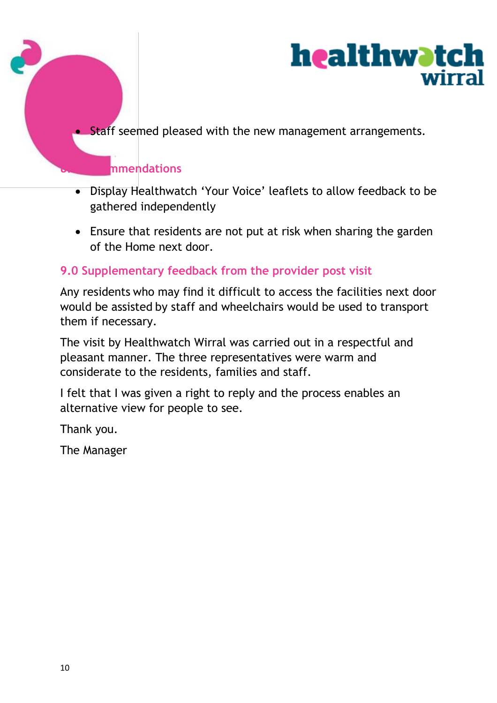



**Staff seemed pleased with the new management arrangements.** 

# **8.0 Recommendations**

- Display Healthwatch 'Your Voice' leaflets to allow feedback to be gathered independently
- Ensure that residents are not put at risk when sharing the garden of the Home next door.

# **9.0 Supplementary feedback from the provider post visit**

Any residents who may find it difficult to access the facilities next door would be assisted by staff and wheelchairs would be used to transport them if necessary.

The visit by Healthwatch Wirral was carried out in a respectful and pleasant manner. The three representatives were warm and considerate to the residents, families and staff.

I felt that I was given a right to reply and the process enables an alternative view for people to see.

Thank you.

The Manager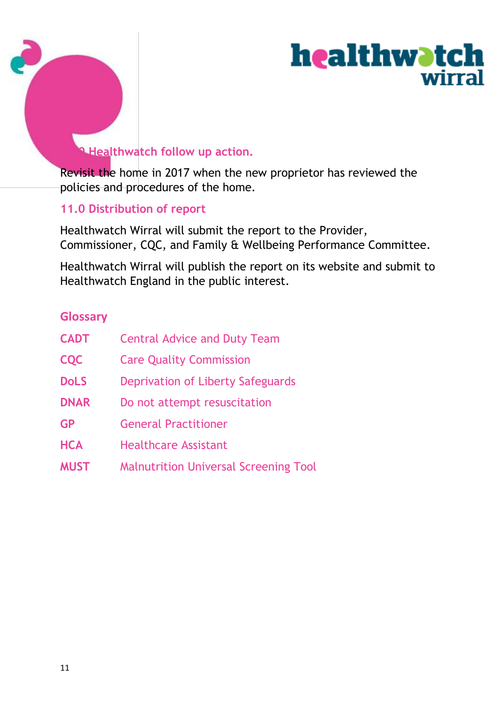



# **10.0 Healthwatch follow up action.**

Revisit the home in 2017 when the new proprietor has reviewed the policies and procedures of the home.

#### **11.0 Distribution of report**

Healthwatch Wirral will submit the report to the Provider, Commissioner, CQC, and Family & Wellbeing Performance Committee.

Healthwatch Wirral will publish the report on its website and submit to Healthwatch England in the public interest.

### **Glossary**

| <b>CADT</b> | <b>Central Advice and Duty Team</b>          |
|-------------|----------------------------------------------|
| <b>CQC</b>  | <b>Care Quality Commission</b>               |
| <b>DoLS</b> | Deprivation of Liberty Safeguards            |
| <b>DNAR</b> | Do not attempt resuscitation                 |
| <b>GP</b>   | <b>General Practitioner</b>                  |
| <b>HCA</b>  | <b>Healthcare Assistant</b>                  |
| <b>MUST</b> | <b>Malnutrition Universal Screening Tool</b> |